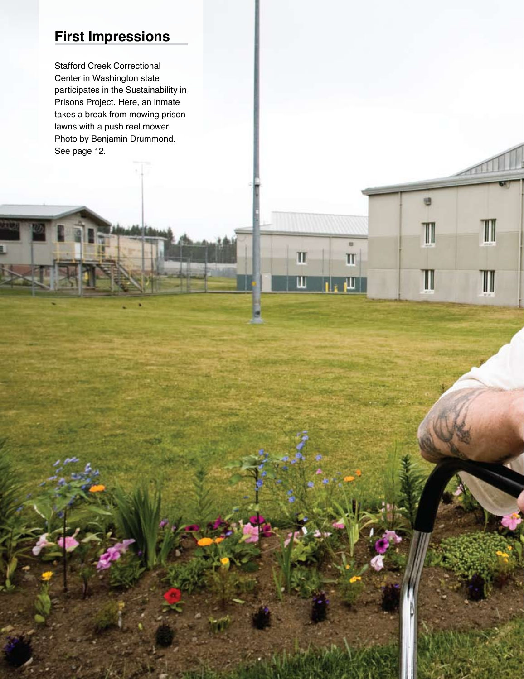## **First Impressions**

Stafford Creek Correctional Center in Washington state participates in the Sustainability in Prisons Project. Here, an inmate takes a break from mowing prison lawns with a push reel mower. Photo by Benjamin Drummond. See page 12.

 $\mathbb I$ 

 $\mathbb I$ 

 $\mathbb I$ 

 $\blacksquare$ 

m

m

T

Ш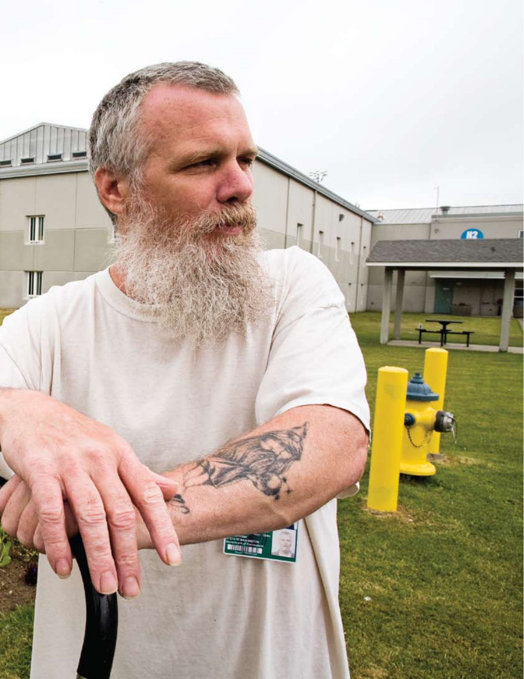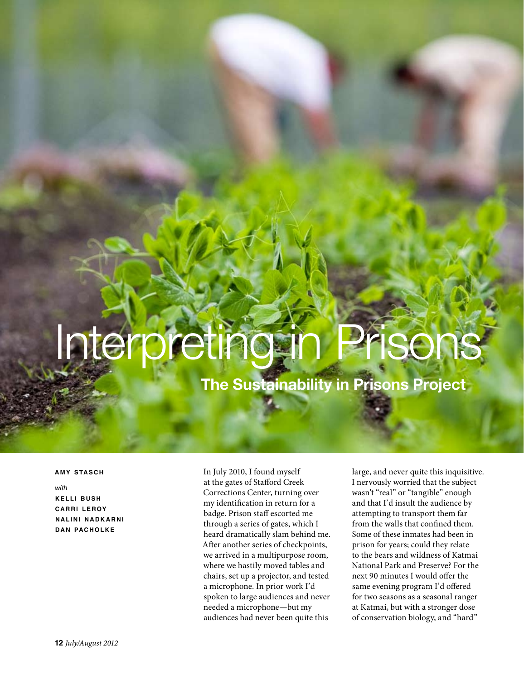# Interpreting in Prisons

**The Sustainability in Prisons Project**

#### **a m y s ta s c h**

*with* **k e l l i b u s h ca r r i l e r oy NALINI NADKARNI DAN PACHOLKE** 

In July 2010, I found myself at the gates of Stafford Creek Corrections Center, turning over my identification in return for a badge. Prison staff escorted me through a series of gates, which I heard dramatically slam behind me. After another series of checkpoints, we arrived in a multipurpose room, where we hastily moved tables and chairs, set up a projector, and tested a microphone. In prior work I'd spoken to large audiences and never needed a microphone—but my audiences had never been quite this

large, and never quite this inquisitive. I nervously worried that the subject wasn't "real" or "tangible" enough and that I'd insult the audience by attempting to transport them far from the walls that confined them. Some of these inmates had been in prison for years; could they relate to the bears and wildness of Katmai National Park and Preserve? For the next 90 minutes I would offer the same evening program I'd offered for two seasons as a seasonal ranger at Katmai, but with a stronger dose of conservation biology, and "hard"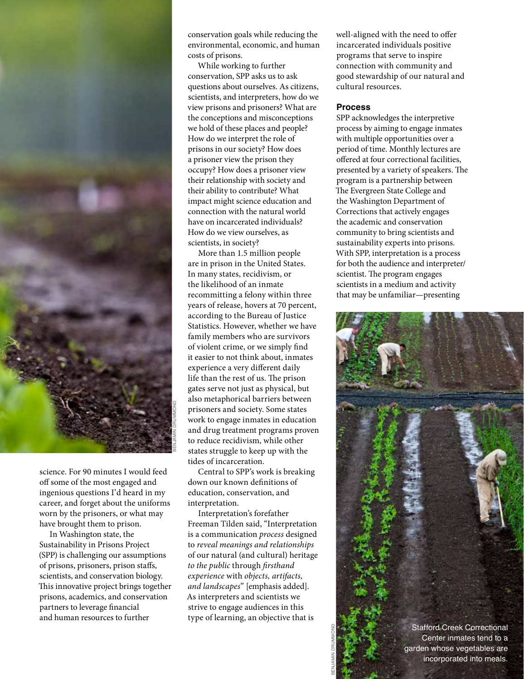

science. For 90 minutes I would feed off some of the most engaged and ingenious questions I'd heard in my career, and forget about the uniforms worn by the prisoners, or what may have brought them to prison.

In Washington state, the Sustainability in Prisons Project (SPP) is challenging our assumptions of prisons, prisoners, prison staffs, scientists, and conservation biology. This innovative project brings together prisons, academics, and conservation partners to leverage financial and human resources to further

conservation goals while reducing the environmental, economic, and human costs of prisons.

While working to further conservation, SPP asks us to ask questions about ourselves. As citizens, scientists, and interpreters, how do we view prisons and prisoners? What are the conceptions and misconceptions we hold of these places and people? How do we interpret the role of prisons in our society? How does a prisoner view the prison they occupy? How does a prisoner view their relationship with society and their ability to contribute? What impact might science education and connection with the natural world have on incarcerated individuals? How do we view ourselves, as scientists, in society?

More than 1.5 million people are in prison in the United States. In many states, recidivism, or the likelihood of an inmate recommitting a felony within three years of release, hovers at 70 percent, according to the Bureau of Justice Statistics. However, whether we have family members who are survivors of violent crime, or we simply find it easier to not think about, inmates experience a very different daily life than the rest of us. The prison gates serve not just as physical, but also metaphorical barriers between prisoners and society. Some states work to engage inmates in education and drug treatment programs proven to reduce recidivism, while other states struggle to keep up with the tides of incarceration.

Central to SPP's work is breaking down our known definitions of education, conservation, and interpretation.

Interpretation's forefather Freeman Tilden said, "Interpretation is a communication *process* designed to *reveal meanings and relationships* of our natural (and cultural) heritage *to the public* through *firsthand experience* with *objects, artifacts, and landscapes*" [emphasis added]. As interpreters and scientists we strive to engage audiences in this type of learning, an objective that is

well-aligned with the need to offer incarcerated individuals positive programs that serve to inspire connection with community and good stewardship of our natural and cultural resources.

#### **Process**

SPP acknowledges the interpretive process by aiming to engage inmates with multiple opportunities over a period of time. Monthly lectures are offered at four correctional facilities, presented by a variety of speakers. The program is a partnership between The Evergreen State College and the Washington Department of Corrections that actively engages the academic and conservation community to bring scientists and sustainability experts into prisons. With SPP, interpretation is a process for both the audience and interpreter/ scientist. The program engages scientists in a medium and activity that may be unfamiliar—presenting

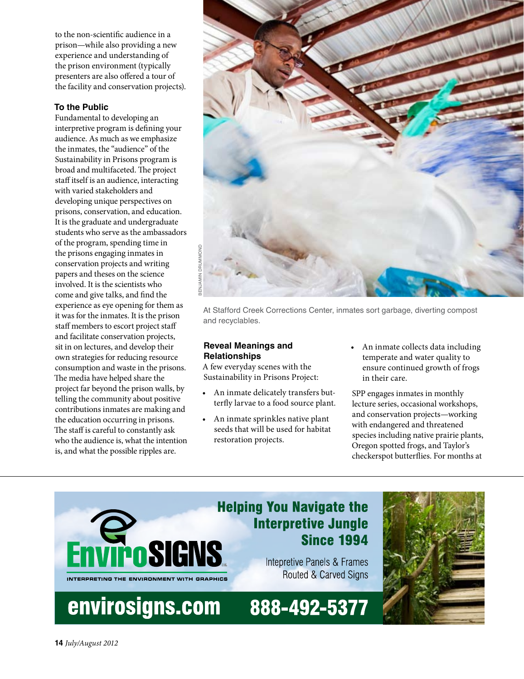to the non-scientific audience in a prison—while also providing a new experience and understanding of the prison environment (typically presenters are also offered a tour of the facility and conservation projects).

#### **To the Public**

Fundamental to developing an interpretive program is defining your audience. As much as we emphasize the inmates, the "audience" of the Sustainability in Prisons program is broad and multifaceted. The project staff itself is an audience, interacting with varied stakeholders and developing unique perspectives on prisons, conservation, and education. It is the graduate and undergraduate students who serve as the ambassadors of the program, spending time in the prisons engaging inmates in conservation projects and writing papers and theses on the science involved. It is the scientists who come and give talks, and find the experience as eye opening for them as it was for the inmates. It is the prison staff members to escort project staff and facilitate conservation projects, sit in on lectures, and develop their own strategies for reducing resource consumption and waste in the prisons. The media have helped share the project far beyond the prison walls, by telling the community about positive contributions inmates are making and the education occurring in prisons. The staff is careful to constantly ask who the audience is, what the intention is, and what the possible ripples are.



At Stafford Creek Corrections Center, inmates sort garbage, diverting compost and recyclables.

#### **Reveal Meanings and Relationships**

A few everyday scenes with the Sustainability in Prisons Project:

- An inmate delicately transfers butterfly larvae to a food source plant.
- • An inmate sprinkles native plant seeds that will be used for habitat restoration projects.
- • An inmate collects data including temperate and water quality to ensure continued growth of frogs in their care.

SPP engages inmates in monthly lecture series, occasional workshops, and conservation projects—working with endangered and threatened species including native prairie plants, Oregon spotted frogs, and Taylor's checkerspot butterflies. For months at

## **Helping You Navigate the Interpretive Jungle Since 1994**

Intepretive Panels & Frames **Routed & Carved Signs** 

888-492-5377



INTERPRETING THE ENVIRONMENT WITH GRAPHICS

**WIPOSIGNS** 

# envirosigns.com